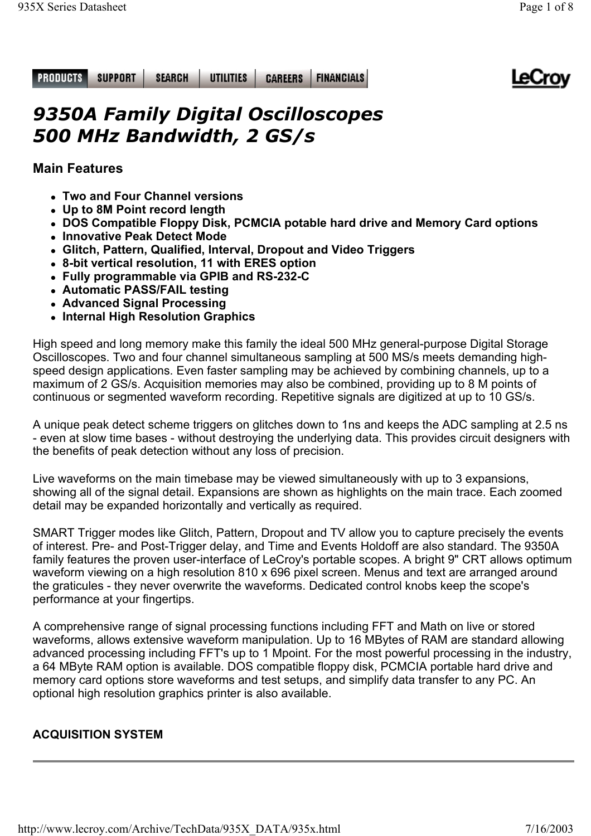#### **SUPPORT SEARCH** UTILITIES **FINANCIALS PRODUCTS CAREERS**



# *9350A Family Digital Oscilloscopes 500 MHz Bandwidth, 2 GS/s*

# **Main Features**

- **Two and Four Channel versions**
- <sup>z</sup> **Up to 8M Point record length**
- <sup>z</sup> **DOS Compatible Floppy Disk, PCMCIA potable hard drive and Memory Card options**
- **Innovative Peak Detect Mode**
- **Glitch, Pattern, Qualified, Interval, Dropout and Video Triggers**
- <sup>z</sup> **8-bit vertical resolution, 11 with ERES option**
- <sup>z</sup> **Fully programmable via GPIB and RS-232-C**
- **Automatic PASS/FAIL testing**
- **Advanced Signal Processing**
- **Internal High Resolution Graphics**

High speed and long memory make this family the ideal 500 MHz general-purpose Digital Storage Oscilloscopes. Two and four channel simultaneous sampling at 500 MS/s meets demanding highspeed design applications. Even faster sampling may be achieved by combining channels, up to a maximum of 2 GS/s. Acquisition memories may also be combined, providing up to 8 M points of continuous or segmented waveform recording. Repetitive signals are digitized at up to 10 GS/s.

A unique peak detect scheme triggers on glitches down to 1ns and keeps the ADC sampling at 2.5 ns - even at slow time bases - without destroying the underlying data. This provides circuit designers with the benefits of peak detection without any loss of precision.

Live waveforms on the main timebase may be viewed simultaneously with up to 3 expansions, showing all of the signal detail. Expansions are shown as highlights on the main trace. Each zoomed detail may be expanded horizontally and vertically as required.

SMART Trigger modes like Glitch, Pattern, Dropout and TV allow you to capture precisely the events of interest. Pre- and Post-Trigger delay, and Time and Events Holdoff are also standard. The 9350A family features the proven user-interface of LeCroy's portable scopes. A bright 9" CRT allows optimum waveform viewing on a high resolution 810 x 696 pixel screen. Menus and text are arranged around the graticules - they never overwrite the waveforms. Dedicated control knobs keep the scope's performance at your fingertips.

A comprehensive range of signal processing functions including FFT and Math on live or stored waveforms, allows extensive waveform manipulation. Up to 16 MBytes of RAM are standard allowing advanced processing including FFT's up to 1 Mpoint. For the most powerful processing in the industry, a 64 MByte RAM option is available. DOS compatible floppy disk, PCMCIA portable hard drive and memory card options store waveforms and test setups, and simplify data transfer to any PC. An optional high resolution graphics printer is also available.

# **ACQUISITION SYSTEM**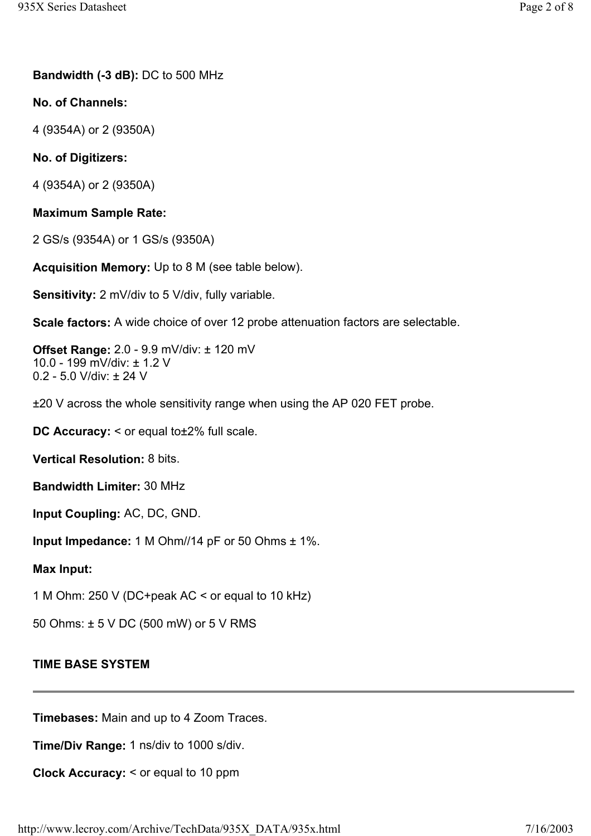**Bandwidth (-3 dB):** DC to 500 MHz

**No. of Channels:**

4 (9354A) or 2 (9350A)

**No. of Digitizers:**

4 (9354A) or 2 (9350A)

# **Maximum Sample Rate:**

2 GS/s (9354A) or 1 GS/s (9350A)

**Acquisition Memory:** Up to 8 M (see table below).

**Sensitivity:** 2 mV/div to 5 V/div, fully variable.

**Scale factors:** A wide choice of over 12 probe attenuation factors are selectable.

**Offset Range:** 2.0 - 9.9 mV/div: ± 120 mV 10.0 - 199 mV/div: ± 1.2 V 0.2 - 5.0 V/div: ± 24 V

±20 V across the whole sensitivity range when using the AP 020 FET probe.

**DC Accuracy:** < or equal to±2% full scale.

**Vertical Resolution:** 8 bits.

**Bandwidth Limiter:** 30 MHz

**Input Coupling:** AC, DC, GND.

**Input Impedance:** 1 M Ohm//14 pF or 50 Ohms ± 1%.

**Max Input:**

1 M Ohm: 250 V (DC+peak AC < or equal to 10 kHz)

50 Ohms: ± 5 V DC (500 mW) or 5 V RMS

### **TIME BASE SYSTEM**

**Timebases:** Main and up to 4 Zoom Traces.

**Time/Div Range:** 1 ns/div to 1000 s/div.

**Clock Accuracy:** < or equal to 10 ppm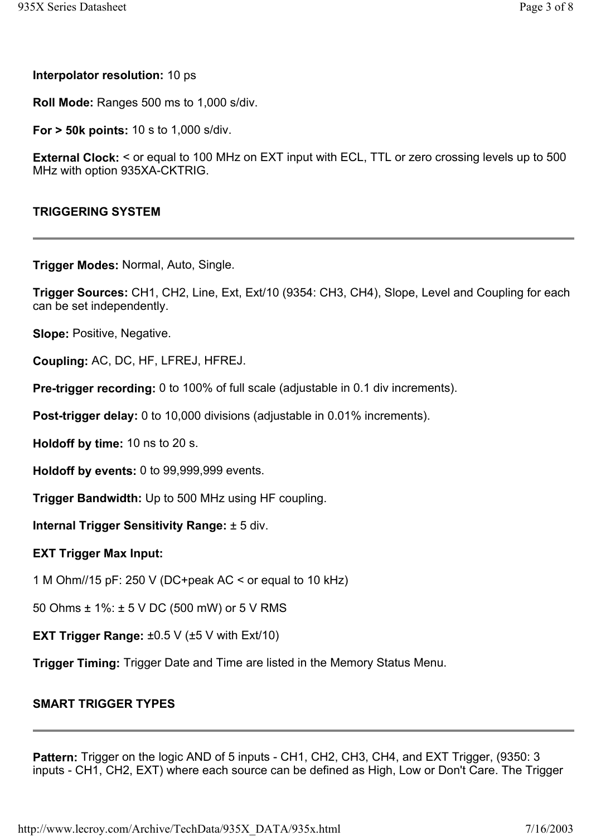**Interpolator resolution:** 10 ps

**Roll Mode:** Ranges 500 ms to 1,000 s/div.

**For > 50k points:** 10 s to 1,000 s/div.

**External Clock:** < or equal to 100 MHz on EXT input with ECL, TTL or zero crossing levels up to 500 MHz with option 935XA-CKTRIG.

#### **TRIGGERING SYSTEM**

**Trigger Modes:** Normal, Auto, Single.

**Trigger Sources:** CH1, CH2, Line, Ext, Ext/10 (9354: CH3, CH4), Slope, Level and Coupling for each can be set independently.

**Slope:** Positive, Negative.

**Coupling:** AC, DC, HF, LFREJ, HFREJ.

**Pre-trigger recording:** 0 to 100% of full scale (adjustable in 0.1 div increments).

**Post-trigger delay:** 0 to 10,000 divisions (adjustable in 0.01% increments).

**Holdoff by time:** 10 ns to 20 s.

**Holdoff by events:** 0 to 99,999,999 events.

**Trigger Bandwidth:** Up to 500 MHz using HF coupling.

**Internal Trigger Sensitivity Range:** ± 5 div.

#### **EXT Trigger Max Input:**

1 M Ohm//15 pF: 250 V (DC+peak AC < or equal to 10 kHz)

50 Ohms ± 1%: ± 5 V DC (500 mW) or 5 V RMS

**EXT Trigger Range:** ±0.5 V (±5 V with Ext/10)

**Trigger Timing:** Trigger Date and Time are listed in the Memory Status Menu.

### **SMART TRIGGER TYPES**

**Pattern:** Trigger on the logic AND of 5 inputs - CH1, CH2, CH3, CH4, and EXT Trigger, (9350: 3 inputs - CH1, CH2, EXT) where each source can be defined as High, Low or Don't Care. The Trigger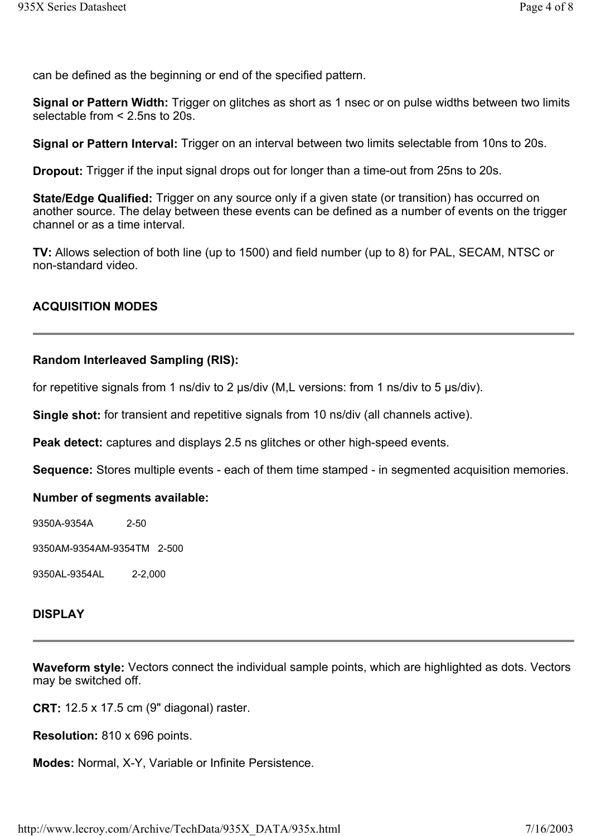can be defined as the beginning or end of the specified pattern.

**Signal or Pattern Width:** Trigger on glitches as short as 1 nsec or on pulse widths between two limits selectable from < 2.5ns to 20s.

**Signal or Pattern Interval:** Trigger on an interval between two limits selectable from 10ns to 20s.

**Dropout:** Trigger if the input signal drops out for longer than a time-out from 25ns to 20s.

**State/Edge Qualified:** Trigger on any source only if a given state (or transition) has occurred on another source. The delay between these events can be defined as a number of events on the trigger channel or as a time interval.

**TV:** Allows selection of both line (up to 1500) and field number (up to 8) for PAL, SECAM, NTSC or non-standard video.

## **ACQUISITION MODES**

#### **Random Interleaved Sampling (RIS):**

for repetitive signals from 1 ns/div to 2 us/div (M.L versions: from 1 ns/div to 5 us/div).

**Single shot:** for transient and repetitive signals from 10 ns/div (all channels active).

**Peak detect:** captures and displays 2.5 ns glitches or other high-speed events.

**Sequence:** Stores multiple events - each of them time stamped - in segmented acquisition memories.

#### **Number of segments available:**

9350A-9354A 2-50

9350AM-9354AM-9354TM 2-500

9350AL-9354AL 2-2,000

#### **DISPLAY**

**Waveform style:** Vectors connect the individual sample points, which are highlighted as dots. Vectors may be switched off.

**CRT:** 12.5 x 17.5 cm (9" diagonal) raster.

**Resolution:** 810 x 696 points.

**Modes:** Normal, X-Y, Variable or Infinite Persistence.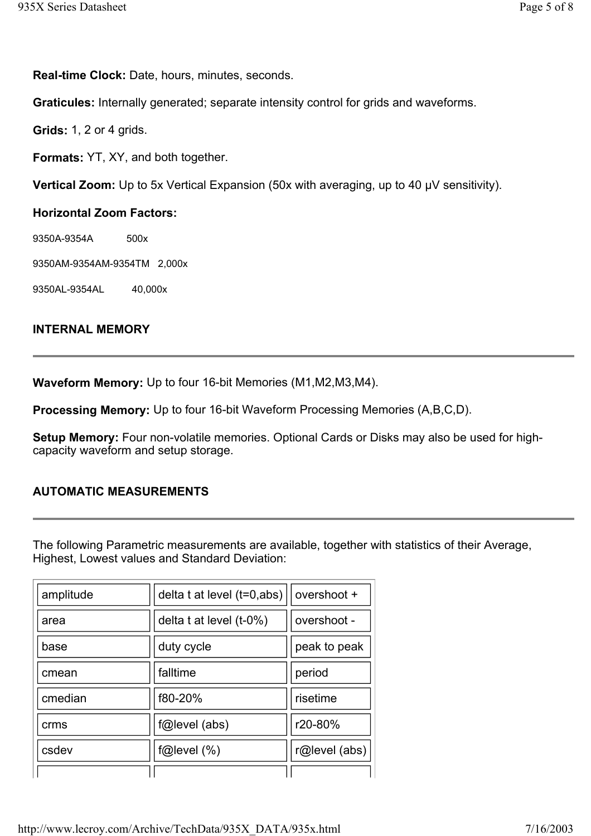**Real-time Clock:** Date, hours, minutes, seconds.

**Graticules:** Internally generated; separate intensity control for grids and waveforms.

**Grids:** 1, 2 or 4 grids.

**Formats:** YT, XY, and both together.

**Vertical Zoom:** Up to 5x Vertical Expansion (50x with averaging, up to 40 µV sensitivity).

### **Horizontal Zoom Factors:**

9350A-9354A 500x

9350AM-9354AM-9354TM 2,000x

9350AL-9354AL 40,000x

### **INTERNAL MEMORY**

**Waveform Memory:** Up to four 16-bit Memories (M1,M2,M3,M4).

**Processing Memory:** Up to four 16-bit Waveform Processing Memories (A,B,C,D).

**Setup Memory:** Four non-volatile memories. Optional Cards or Disks may also be used for highcapacity waveform and setup storage.

# **AUTOMATIC MEASUREMENTS**

The following Parametric measurements are available, together with statistics of their Average, Highest, Lowest values and Standard Deviation:

| amplitude | delta t at level (t=0,abs) | overshoot +   |
|-----------|----------------------------|---------------|
| area      | delta t at level $(t-0\%)$ | overshoot -   |
| base      | duty cycle                 | peak to peak  |
| cmean     | falltime                   | period        |
| cmedian   | f80-20%                    | risetime      |
| crms      | f@level (abs)              | r20-80%       |
| csdev     | f@level(%)                 | r@level (abs) |
|           |                            |               |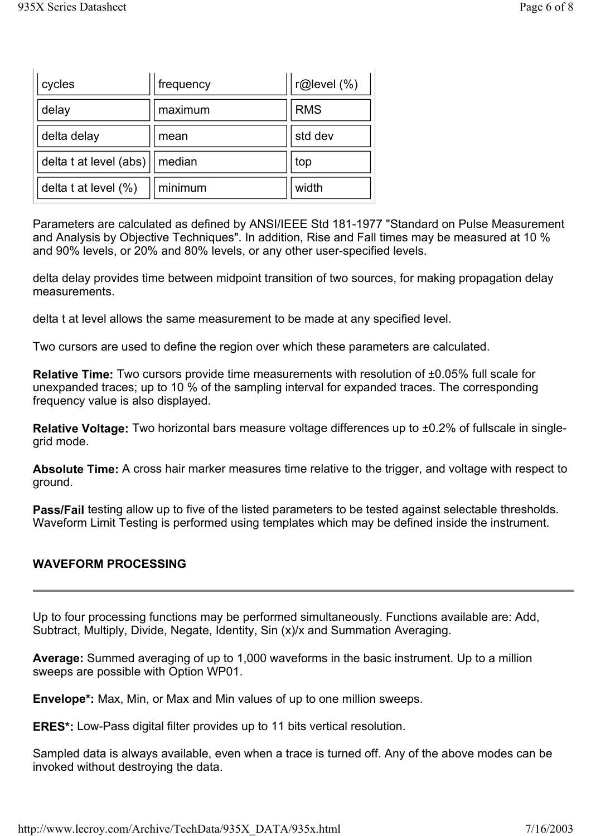| cycles                    | frequency | r@level (%) |  |
|---------------------------|-----------|-------------|--|
| delay                     | maximum   | <b>RMS</b>  |  |
| delta delay               | mean      | std dev     |  |
| delta t at level (abs)    | median    | top         |  |
| delta $t$ at level $(\%)$ | minimum   | width       |  |

Parameters are calculated as defined by ANSI/IEEE Std 181-1977 "Standard on Pulse Measurement and Analysis by Objective Techniques". In addition, Rise and Fall times may be measured at 10 % and 90% levels, or 20% and 80% levels, or any other user-specified levels.

delta delay provides time between midpoint transition of two sources, for making propagation delay measurements.

delta t at level allows the same measurement to be made at any specified level.

Two cursors are used to define the region over which these parameters are calculated.

**Relative Time:** Two cursors provide time measurements with resolution of ±0.05% full scale for unexpanded traces; up to 10 % of the sampling interval for expanded traces. The corresponding frequency value is also displayed.

**Relative Voltage:** Two horizontal bars measure voltage differences up to ±0.2% of fullscale in singlegrid mode.

**Absolute Time:** A cross hair marker measures time relative to the trigger, and voltage with respect to ground.

**Pass/Fail** testing allow up to five of the listed parameters to be tested against selectable thresholds. Waveform Limit Testing is performed using templates which may be defined inside the instrument.

# **WAVEFORM PROCESSING**

Up to four processing functions may be performed simultaneously. Functions available are: Add, Subtract, Multiply, Divide, Negate, Identity, Sin (x)/x and Summation Averaging.

**Average:** Summed averaging of up to 1,000 waveforms in the basic instrument. Up to a million sweeps are possible with Option WP01.

**Envelope\*:** Max, Min, or Max and Min values of up to one million sweeps.

**ERES\*:** Low-Pass digital filter provides up to 11 bits vertical resolution.

Sampled data is always available, even when a trace is turned off. Any of the above modes can be invoked without destroying the data.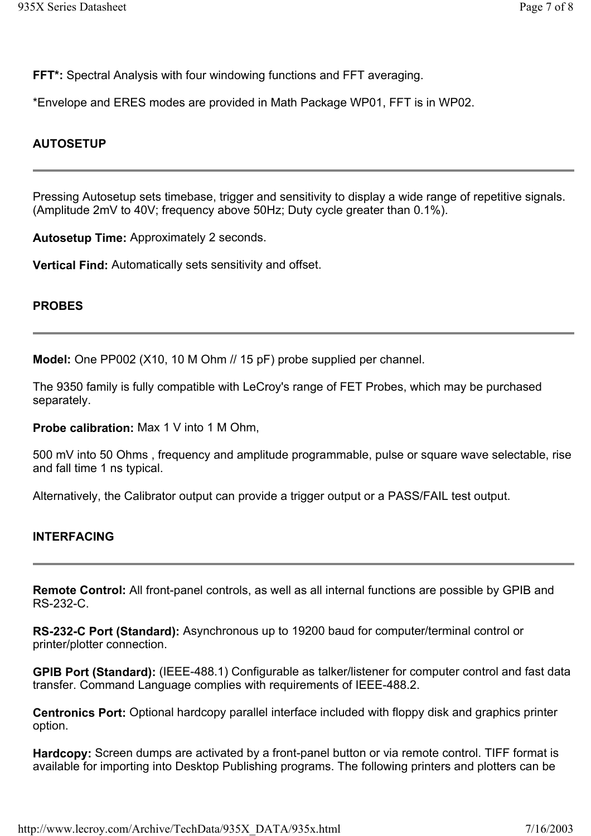**FFT\*:** Spectral Analysis with four windowing functions and FFT averaging.

\*Envelope and ERES modes are provided in Math Package WP01, FFT is in WP02.

### **AUTOSETUP**

Pressing Autosetup sets timebase, trigger and sensitivity to display a wide range of repetitive signals. (Amplitude 2mV to 40V; frequency above 50Hz; Duty cycle greater than 0.1%).

**Autosetup Time:** Approximately 2 seconds.

**Vertical Find:** Automatically sets sensitivity and offset.

#### **PROBES**

**Model:** One PP002 (X10, 10 M Ohm // 15 pF) probe supplied per channel.

The 9350 family is fully compatible with LeCroy's range of FET Probes, which may be purchased separately.

**Probe calibration:** Max 1 V into 1 M Ohm,

500 mV into 50 Ohms , frequency and amplitude programmable, pulse or square wave selectable, rise and fall time 1 ns typical.

Alternatively, the Calibrator output can provide a trigger output or a PASS/FAIL test output.

#### **INTERFACING**

**Remote Control:** All front-panel controls, as well as all internal functions are possible by GPIB and RS-232-C.

**RS-232-C Port (Standard):** Asynchronous up to 19200 baud for computer/terminal control or printer/plotter connection.

**GPIB Port (Standard):** (IEEE-488.1) Configurable as talker/listener for computer control and fast data transfer. Command Language complies with requirements of IEEE-488.2.

**Centronics Port:** Optional hardcopy parallel interface included with floppy disk and graphics printer option.

**Hardcopy:** Screen dumps are activated by a front-panel button or via remote control. TIFF format is available for importing into Desktop Publishing programs. The following printers and plotters can be